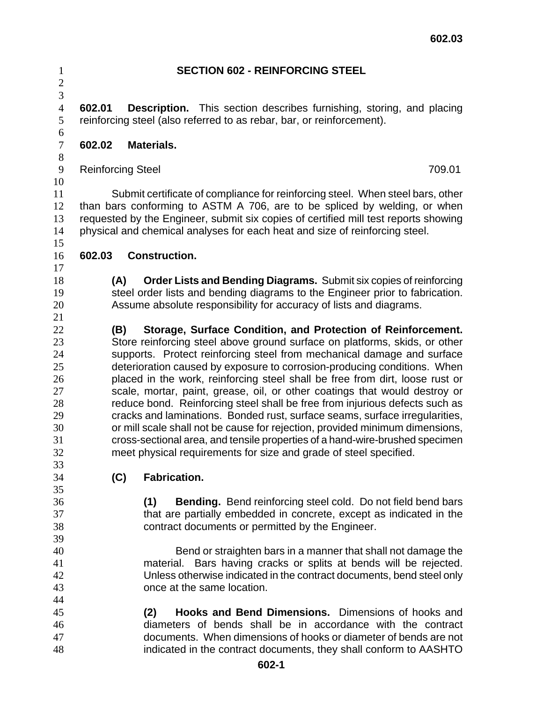| $\mathbf{1}$                   | <b>SECTION 602 - REINFORCING STEEL</b> |                                                                                                                                                             |  |
|--------------------------------|----------------------------------------|-------------------------------------------------------------------------------------------------------------------------------------------------------------|--|
| $\mathbf{2}$<br>$\mathfrak{Z}$ |                                        |                                                                                                                                                             |  |
| $\overline{4}$                 | 602.01                                 | <b>Description.</b> This section describes furnishing, storing, and placing                                                                                 |  |
| 5                              |                                        | reinforcing steel (also referred to as rebar, bar, or reinforcement).                                                                                       |  |
| 6<br>$\tau$                    | 602.02                                 | <b>Materials.</b>                                                                                                                                           |  |
| $8\,$                          |                                        |                                                                                                                                                             |  |
| $\mathbf{9}$                   |                                        | <b>Reinforcing Steel</b><br>709.01                                                                                                                          |  |
| 10                             |                                        |                                                                                                                                                             |  |
| 11<br>12                       |                                        | Submit certificate of compliance for reinforcing steel. When steel bars, other<br>than bars conforming to ASTM A 706, are to be spliced by welding, or when |  |
| 13                             |                                        | requested by the Engineer, submit six copies of certified mill test reports showing                                                                         |  |
| 14                             |                                        | physical and chemical analyses for each heat and size of reinforcing steel.                                                                                 |  |
| 15<br>16                       | 602.03                                 | <b>Construction.</b>                                                                                                                                        |  |
| 17                             |                                        |                                                                                                                                                             |  |
| 18                             | (A)                                    | Order Lists and Bending Diagrams. Submit six copies of reinforcing                                                                                          |  |
| 19                             |                                        | steel order lists and bending diagrams to the Engineer prior to fabrication.                                                                                |  |
| 20                             |                                        | Assume absolute responsibility for accuracy of lists and diagrams.                                                                                          |  |
| 21                             |                                        |                                                                                                                                                             |  |
| 22                             |                                        | Storage, Surface Condition, and Protection of Reinforcement.<br>(B)                                                                                         |  |
| 23                             |                                        | Store reinforcing steel above ground surface on platforms, skids, or other                                                                                  |  |
| 24                             |                                        | supports. Protect reinforcing steel from mechanical damage and surface                                                                                      |  |
| 25                             |                                        | deterioration caused by exposure to corrosion-producing conditions. When                                                                                    |  |
| 26                             |                                        | placed in the work, reinforcing steel shall be free from dirt, loose rust or                                                                                |  |
| 27                             |                                        | scale, mortar, paint, grease, oil, or other coatings that would destroy or                                                                                  |  |
| 28                             |                                        | reduce bond. Reinforcing steel shall be free from injurious defects such as                                                                                 |  |
| 29                             |                                        | cracks and laminations. Bonded rust, surface seams, surface irregularities,                                                                                 |  |
| 30                             |                                        | or mill scale shall not be cause for rejection, provided minimum dimensions,                                                                                |  |
| 31                             |                                        | cross-sectional area, and tensile properties of a hand-wire-brushed specimen                                                                                |  |
| 32                             |                                        | meet physical requirements for size and grade of steel specified.                                                                                           |  |
| 33                             |                                        |                                                                                                                                                             |  |
| 34                             | (C)                                    | <b>Fabrication.</b>                                                                                                                                         |  |
| 35                             |                                        |                                                                                                                                                             |  |
| 36                             |                                        | <b>Bending.</b> Bend reinforcing steel cold. Do not field bend bars<br>(1)                                                                                  |  |
| 37                             |                                        | that are partially embedded in concrete, except as indicated in the                                                                                         |  |
| 38                             |                                        | contract documents or permitted by the Engineer.                                                                                                            |  |
| 39                             |                                        |                                                                                                                                                             |  |
| 40                             |                                        | Bend or straighten bars in a manner that shall not damage the                                                                                               |  |
| 41<br>42                       |                                        | material. Bars having cracks or splits at bends will be rejected.<br>Unless otherwise indicated in the contract documents, bend steel only                  |  |
| 43                             |                                        | once at the same location.                                                                                                                                  |  |
| 44                             |                                        |                                                                                                                                                             |  |
| 45                             |                                        | Hooks and Bend Dimensions. Dimensions of hooks and<br>(2)                                                                                                   |  |
| 46                             |                                        | diameters of bends shall be in accordance with the contract                                                                                                 |  |
| 47                             |                                        | documents. When dimensions of hooks or diameter of bends are not                                                                                            |  |
| 48                             |                                        | indicated in the contract documents, they shall conform to AASHTO                                                                                           |  |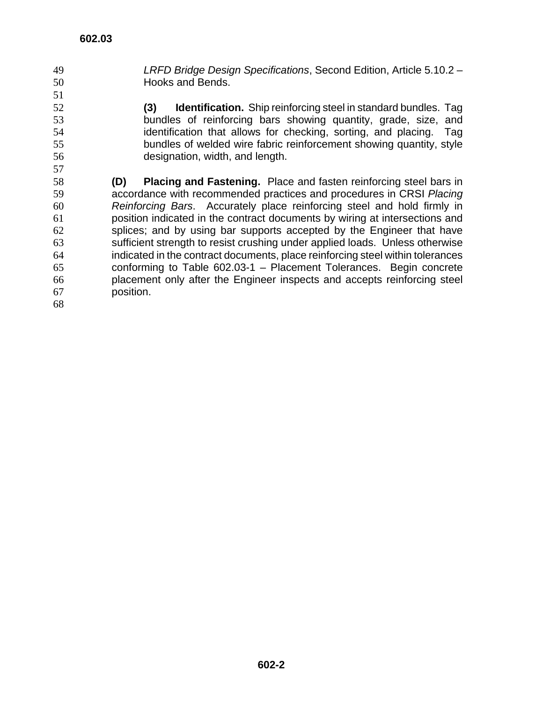- *LRFD Bridge Design Specifications*, Second Edition, Article 5.10.2 Hooks and Bends.
- **(3) Identification.** Ship reinforcing steel in standard bundles. Tag bundles of reinforcing bars showing quantity, grade, size, and identification that allows for checking, sorting, and placing. Tag bundles of welded wire fabric reinforcement showing quantity, style designation, width, and length.
- **(D) Placing and Fastening.** Place and fasten reinforcing steel bars in accordance with recommended practices and procedures in CRSI *Placing Reinforcing Bars*. Accurately place reinforcing steel and hold firmly in position indicated in the contract documents by wiring at intersections and splices; and by using bar supports accepted by the Engineer that have sufficient strength to resist crushing under applied loads. Unless otherwise indicated in the contract documents, place reinforcing steel within tolerances conforming to Table 602.03-1 – Placement Tolerances. Begin concrete placement only after the Engineer inspects and accepts reinforcing steel position.
-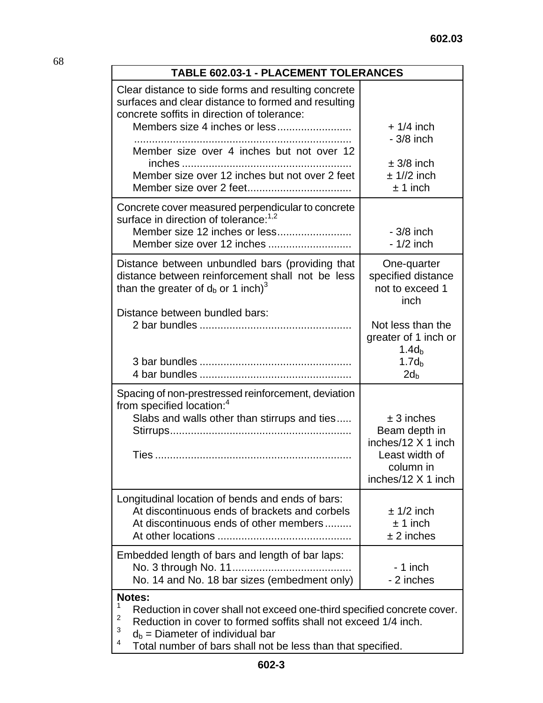| <b>TABLE 602.03-1 - PLACEMENT TOLERANCES</b>                                                                                                              |                                                                                                          |  |
|-----------------------------------------------------------------------------------------------------------------------------------------------------------|----------------------------------------------------------------------------------------------------------|--|
| Clear distance to side forms and resulting concrete<br>surfaces and clear distance to formed and resulting<br>concrete soffits in direction of tolerance: | $+1/4$ inch<br>$-3/8$ inch                                                                               |  |
| Member size over 4 inches but not over 12<br>Member size over 12 inches but not over 2 feet                                                               | $\pm$ 3/8 inch<br>$± 1//2$ inch<br>$± 1$ inch                                                            |  |
| Concrete cover measured perpendicular to concrete<br>surface in direction of tolerance: <sup>1,2</sup><br>Member size 12 inches or less                   | $-3/8$ inch<br>$-1/2$ inch                                                                               |  |
| Distance between unbundled bars (providing that<br>distance between reinforcement shall not be less<br>than the greater of $d_b$ or 1 inch) <sup>3</sup>  | One-quarter<br>specified distance<br>not to exceed 1<br>inch                                             |  |
| Distance between bundled bars:                                                                                                                            | Not less than the<br>greater of 1 inch or<br>1.4d <sub>b</sub><br>1.7d <sub>b</sub>                      |  |
|                                                                                                                                                           | $2d_{b}$                                                                                                 |  |
| Spacing of non-prestressed reinforcement, deviation<br>from specified location: <sup>4</sup><br>Slabs and walls other than stirrups and ties              | $± 3$ inches<br>Beam depth in<br>inches/12 X 1 inch<br>Least width of<br>column in<br>inches/12 X 1 inch |  |
| Longitudinal location of bends and ends of bars:<br>At discontinuous ends of brackets and corbels<br>At discontinuous ends of other members               | $± 1/2$ inch<br>$± 1$ inch<br>$± 2$ inches                                                               |  |
| Embedded length of bars and length of bar laps:<br>No. 14 and No. 18 bar sizes (embedment only)                                                           | - 1 inch<br>- 2 inches                                                                                   |  |
| <b>Notes:</b><br>Beduction in cover sholl not exceed and third encoified cone                                                                             |                                                                                                          |  |

Reduction in cover shall not exceed one-third specified concrete cover.

2 Reduction in cover to formed soffits shall not exceed 1/4 inch.

3  $d_b$  = Diameter of individual bar

4 Total number of bars shall not be less than that specified.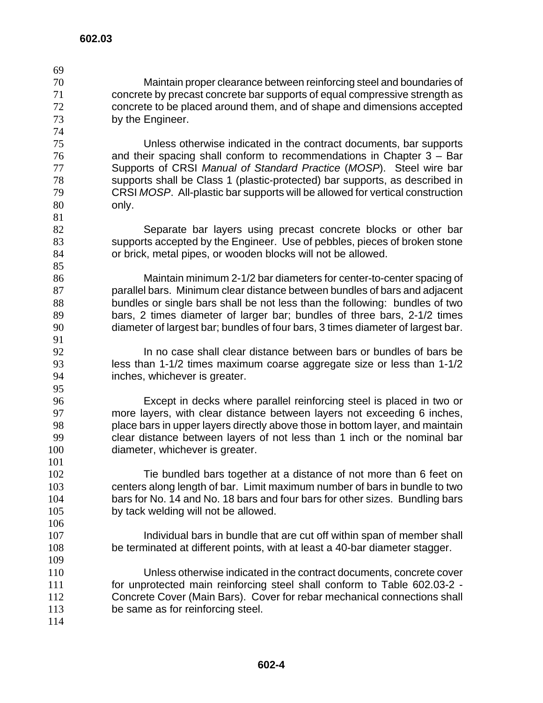Maintain proper clearance between reinforcing steel and boundaries of concrete by precast concrete bar supports of equal compressive strength as concrete to be placed around them, and of shape and dimensions accepted by the Engineer. 

Unless otherwise indicated in the contract documents, bar supports and their spacing shall conform to recommendations in Chapter 3 – Bar Supports of CRSI *Manual of Standard Practice* (*MOSP*). Steel wire bar supports shall be Class 1 (plastic-protected) bar supports, as described in CRSI *MOSP*. All-plastic bar supports will be allowed for vertical construction only.

Separate bar layers using precast concrete blocks or other bar supports accepted by the Engineer. Use of pebbles, pieces of broken stone or brick, metal pipes, or wooden blocks will not be allowed.

Maintain minimum 2-1/2 bar diameters for center-to-center spacing of parallel bars. Minimum clear distance between bundles of bars and adjacent bundles or single bars shall be not less than the following: bundles of two bars, 2 times diameter of larger bar; bundles of three bars, 2-1/2 times diameter of largest bar; bundles of four bars, 3 times diameter of largest bar.

In no case shall clear distance between bars or bundles of bars be less than 1-1/2 times maximum coarse aggregate size or less than 1-1/2 inches, whichever is greater.

Except in decks where parallel reinforcing steel is placed in two or more layers, with clear distance between layers not exceeding 6 inches, place bars in upper layers directly above those in bottom layer, and maintain clear distance between layers of not less than 1 inch or the nominal bar diameter, whichever is greater.

Tie bundled bars together at a distance of not more than 6 feet on centers along length of bar. Limit maximum number of bars in bundle to two bars for No. 14 and No. 18 bars and four bars for other sizes. Bundling bars by tack welding will not be allowed.

Individual bars in bundle that are cut off within span of member shall be terminated at different points, with at least a 40-bar diameter stagger.

Unless otherwise indicated in the contract documents, concrete cover for unprotected main reinforcing steel shall conform to Table 602.03-2 - Concrete Cover (Main Bars). Cover for rebar mechanical connections shall 113 be same as for reinforcing steel.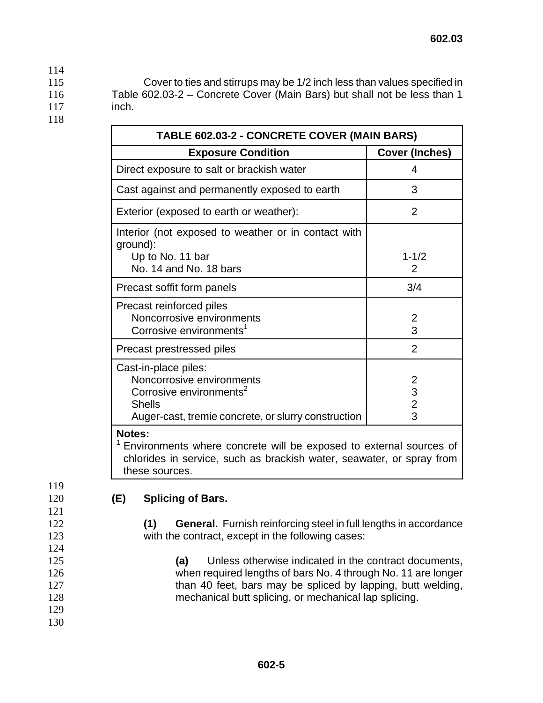115 Cover to ties and stirrups may be 1/2 inch less than values specified in 116 Table 602.03-2 – Concrete Cover (Main Bars) but shall not be less than 1 117 inch.

118

114

| TABLE 602.03-2 - CONCRETE COVER (MAIN BARS)                                                                                                                      |                                      |  |
|------------------------------------------------------------------------------------------------------------------------------------------------------------------|--------------------------------------|--|
| <b>Exposure Condition</b>                                                                                                                                        | <b>Cover (Inches)</b>                |  |
| Direct exposure to salt or brackish water                                                                                                                        | 4                                    |  |
| Cast against and permanently exposed to earth                                                                                                                    | 3                                    |  |
| Exterior (exposed to earth or weather):                                                                                                                          | $\overline{2}$                       |  |
| Interior (not exposed to weather or in contact with<br>ground):<br>Up to No. 11 bar<br>No. 14 and No. 18 bars                                                    | $1 - 1/2$<br>2                       |  |
| Precast soffit form panels                                                                                                                                       | 3/4                                  |  |
| Precast reinforced piles<br>Noncorrosive environments<br>Corrosive environments <sup>1</sup>                                                                     | $\frac{2}{3}$                        |  |
| Precast prestressed piles                                                                                                                                        | 2                                    |  |
| Cast-in-place piles:<br>Noncorrosive environments<br>Corrosive environments <sup>2</sup><br><b>Shells</b><br>Auger-cast, tremie concrete, or slurry construction | $\frac{2}{3}$<br>$\overline{2}$<br>3 |  |
| <b>Notes:</b><br>Environments where concrete will be exposed to external sources of                                                                              |                                      |  |

chlorides in service, such as brackish water, seawater, or spray from these sources.

119 121

124

129 130

## 120 **(E) Splicing of Bars.**

122 **(1) General.** Furnish reinforcing steel in full lengths in accordance 123 with the contract, except in the following cases:

**(a)** Unless otherwise indicated in the contract documents, when required lengths of bars No. 4 through No. 11 are longer 127 than 40 feet, bars may be spliced by lapping, butt welding, mechanical butt splicing, or mechanical lap splicing.

 **602-5**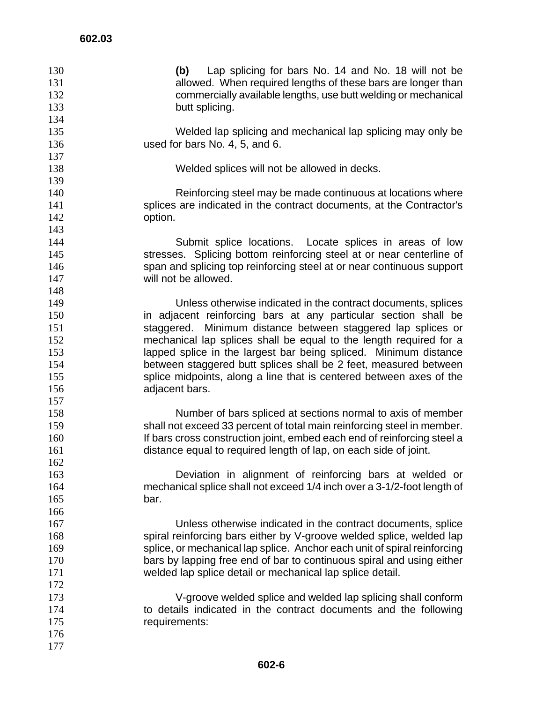| 130<br>131<br>132<br>133 | (b) Lap splicing for bars No. 14 and No. 18 will not be<br>allowed. When required lengths of these bars are longer than<br>commercially available lengths, use butt welding or mechanical<br>butt splicing. |
|--------------------------|-------------------------------------------------------------------------------------------------------------------------------------------------------------------------------------------------------------|
| 134                      |                                                                                                                                                                                                             |
| 135<br>136               | Welded lap splicing and mechanical lap splicing may only be<br>used for bars No. 4, 5, and 6.                                                                                                               |
| 137<br>138               | Welded splices will not be allowed in decks.                                                                                                                                                                |
| 139                      |                                                                                                                                                                                                             |
| 140                      | Reinforcing steel may be made continuous at locations where                                                                                                                                                 |
| 141                      | splices are indicated in the contract documents, at the Contractor's                                                                                                                                        |
| 142                      | option.                                                                                                                                                                                                     |
| 143                      |                                                                                                                                                                                                             |
| 144<br>145               | Submit splice locations. Locate splices in areas of low<br>stresses. Splicing bottom reinforcing steel at or near centerline of                                                                             |
| 146                      | span and splicing top reinforcing steel at or near continuous support                                                                                                                                       |
| 147                      | will not be allowed.                                                                                                                                                                                        |
| 148                      |                                                                                                                                                                                                             |
| 149                      | Unless otherwise indicated in the contract documents, splices                                                                                                                                               |
| 150                      | in adjacent reinforcing bars at any particular section shall be                                                                                                                                             |
| 151                      | Minimum distance between staggered lap splices or<br>staggered.                                                                                                                                             |
| 152                      | mechanical lap splices shall be equal to the length required for a                                                                                                                                          |
| 153                      | lapped splice in the largest bar being spliced. Minimum distance                                                                                                                                            |
| 154                      | between staggered butt splices shall be 2 feet, measured between                                                                                                                                            |
| 155                      | splice midpoints, along a line that is centered between axes of the                                                                                                                                         |
| 156                      | adjacent bars.                                                                                                                                                                                              |
| 157                      |                                                                                                                                                                                                             |
| 158                      | Number of bars spliced at sections normal to axis of member                                                                                                                                                 |
| 159                      | shall not exceed 33 percent of total main reinforcing steel in member.                                                                                                                                      |
| 160                      | If bars cross construction joint, embed each end of reinforcing steel a                                                                                                                                     |
| 161<br>162               | distance equal to required length of lap, on each side of joint.                                                                                                                                            |
| 163                      | Deviation in alignment of reinforcing bars at welded or                                                                                                                                                     |
| 164                      | mechanical splice shall not exceed 1/4 inch over a 3-1/2-foot length of                                                                                                                                     |
| 165                      | bar.                                                                                                                                                                                                        |
| 166                      |                                                                                                                                                                                                             |
| 167                      | Unless otherwise indicated in the contract documents, splice                                                                                                                                                |
| 168                      | spiral reinforcing bars either by V-groove welded splice, welded lap                                                                                                                                        |
| 169                      | splice, or mechanical lap splice. Anchor each unit of spiral reinforcing                                                                                                                                    |
| 170                      | bars by lapping free end of bar to continuous spiral and using either                                                                                                                                       |
| 171                      | welded lap splice detail or mechanical lap splice detail.                                                                                                                                                   |
| 172                      |                                                                                                                                                                                                             |
| 173                      | V-groove welded splice and welded lap splicing shall conform                                                                                                                                                |
| 174                      | to details indicated in the contract documents and the following                                                                                                                                            |
| 175                      | requirements:                                                                                                                                                                                               |
| 176                      |                                                                                                                                                                                                             |
| 177                      |                                                                                                                                                                                                             |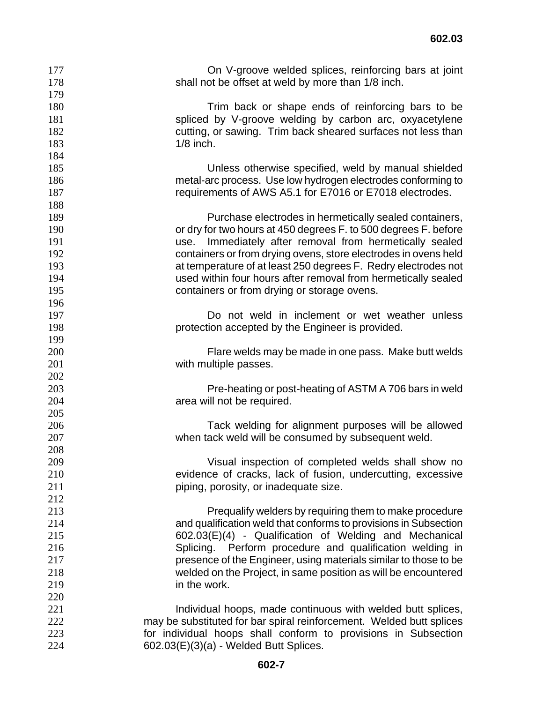| 177 | On V-groove welded splices, reinforcing bars at joint                |
|-----|----------------------------------------------------------------------|
| 178 | shall not be offset at weld by more than 1/8 inch.                   |
| 179 |                                                                      |
| 180 | Trim back or shape ends of reinforcing bars to be                    |
| 181 | spliced by V-groove welding by carbon arc, oxyacetylene              |
| 182 | cutting, or sawing. Trim back sheared surfaces not less than         |
| 183 | $1/8$ inch.                                                          |
| 184 |                                                                      |
| 185 | Unless otherwise specified, weld by manual shielded                  |
| 186 | metal-arc process. Use low hydrogen electrodes conforming to         |
| 187 | requirements of AWS A5.1 for E7016 or E7018 electrodes.              |
| 188 |                                                                      |
| 189 | Purchase electrodes in hermetically sealed containers,               |
| 190 | or dry for two hours at 450 degrees F. to 500 degrees F. before      |
| 191 | use. Immediately after removal from hermetically sealed              |
| 192 | containers or from drying ovens, store electrodes in ovens held      |
| 193 | at temperature of at least 250 degrees F. Redry electrodes not       |
| 194 | used within four hours after removal from hermetically sealed        |
| 195 | containers or from drying or storage ovens.                          |
| 196 |                                                                      |
| 197 | Do not weld in inclement or wet weather unless                       |
| 198 | protection accepted by the Engineer is provided.                     |
| 199 |                                                                      |
| 200 | Flare welds may be made in one pass. Make butt welds                 |
| 201 | with multiple passes.                                                |
| 202 |                                                                      |
| 203 | Pre-heating or post-heating of ASTM A 706 bars in weld               |
| 204 | area will not be required.                                           |
| 205 |                                                                      |
| 206 | Tack welding for alignment purposes will be allowed                  |
| 207 | when tack weld will be consumed by subsequent weld.                  |
| 208 |                                                                      |
| 209 | Visual inspection of completed welds shall show no                   |
| 210 | evidence of cracks, lack of fusion, undercutting, excessive          |
| 211 | piping, porosity, or inadequate size.                                |
| 212 |                                                                      |
| 213 | Prequalify welders by requiring them to make procedure               |
| 214 | and qualification weld that conforms to provisions in Subsection     |
| 215 | 602.03(E)(4) - Qualification of Welding and Mechanical               |
| 216 | Splicing. Perform procedure and qualification welding in             |
| 217 | presence of the Engineer, using materials similar to those to be     |
| 218 | welded on the Project, in same position as will be encountered       |
| 219 | in the work.                                                         |
| 220 |                                                                      |
| 221 | Individual hoops, made continuous with welded butt splices,          |
| 222 | may be substituted for bar spiral reinforcement. Welded butt splices |
| 223 | for individual hoops shall conform to provisions in Subsection       |
| 224 | $602.03(E)(3)(a)$ - Welded Butt Splices.                             |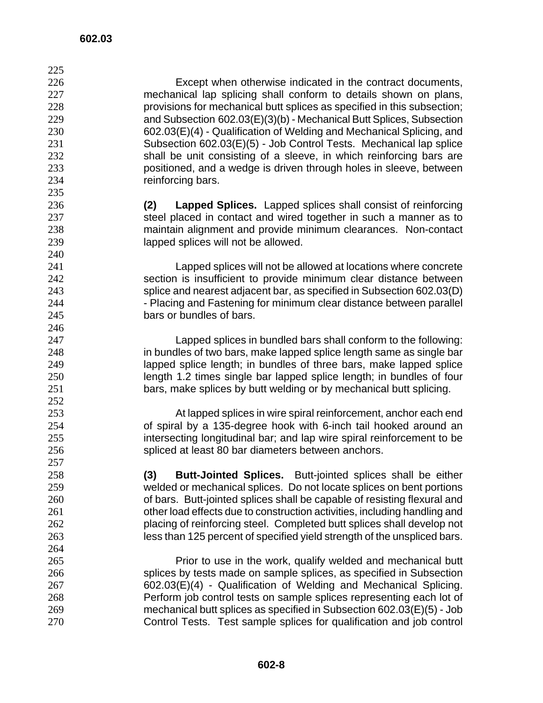Except when otherwise indicated in the contract documents, mechanical lap splicing shall conform to details shown on plans, provisions for mechanical butt splices as specified in this subsection; and Subsection 602.03(E)(3)(b) - Mechanical Butt Splices, Subsection 602.03(E)(4) - Qualification of Welding and Mechanical Splicing, and Subsection 602.03(E)(5) - Job Control Tests. Mechanical lap splice shall be unit consisting of a sleeve, in which reinforcing bars are positioned, and a wedge is driven through holes in sleeve, between reinforcing bars. **(2) Lapped Splices.** Lapped splices shall consist of reinforcing 237 steel placed in contact and wired together in such a manner as to maintain alignment and provide minimum clearances. Non-contact lapped splices will not be allowed. Lapped splices will not be allowed at locations where concrete section is insufficient to provide minimum clear distance between splice and nearest adjacent bar, as specified in Subsection 602.03(D) **- Placing and Fastening for minimum clear distance between parallel** bars or bundles of bars. Lapped splices in bundled bars shall conform to the following: in bundles of two bars, make lapped splice length same as single bar lapped splice length; in bundles of three bars, make lapped splice length 1.2 times single bar lapped splice length; in bundles of four bars, make splices by butt welding or by mechanical butt splicing. At lapped splices in wire spiral reinforcement, anchor each end of spiral by a 135-degree hook with 6-inch tail hooked around an intersecting longitudinal bar; and lap wire spiral reinforcement to be spliced at least 80 bar diameters between anchors. **(3) Butt-Jointed Splices.** Butt-jointed splices shall be either welded or mechanical splices. Do not locate splices on bent portions of bars. Butt-jointed splices shall be capable of resisting flexural and other load effects due to construction activities, including handling and placing of reinforcing steel. Completed butt splices shall develop not less than 125 percent of specified yield strength of the unspliced bars. 

Prior to use in the work, qualify welded and mechanical butt splices by tests made on sample splices, as specified in Subsection 602.03(E)(4) - Qualification of Welding and Mechanical Splicing. Perform job control tests on sample splices representing each lot of mechanical butt splices as specified in Subsection 602.03(E)(5) - Job Control Tests. Test sample splices for qualification and job control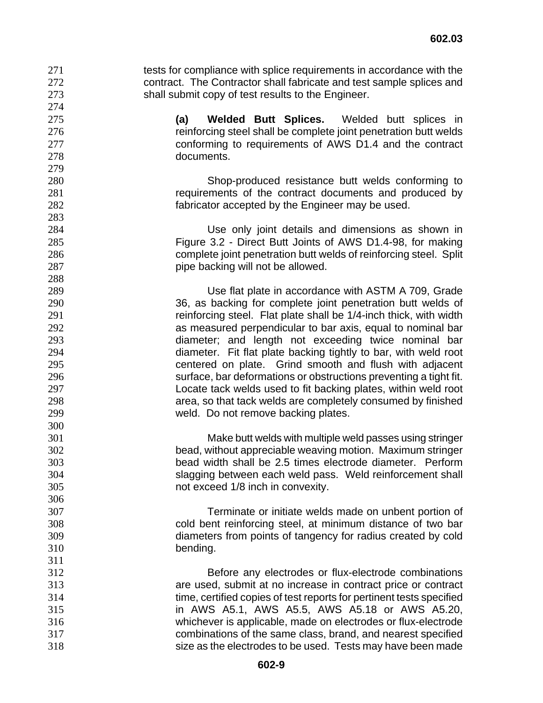271 tests for compliance with splice requirements in accordance with the contract. The Contractor shall fabricate and test sample splices and shall submit copy of test results to the Engineer.

**(a) Welded Butt Splices.** Welded butt splices in **reinforcing steel shall be complete joint penetration butt welds** conforming to requirements of AWS D1.4 and the contract documents.

Shop-produced resistance butt welds conforming to requirements of the contract documents and produced by fabricator accepted by the Engineer may be used.

Use only joint details and dimensions as shown in Figure 3.2 - Direct Butt Joints of AWS D1.4-98, for making complete joint penetration butt welds of reinforcing steel. Split **pipe backing will not be allowed.** 

Use flat plate in accordance with ASTM A 709, Grade 36, as backing for complete joint penetration butt welds of 291 reinforcing steel. Flat plate shall be 1/4-inch thick, with width as measured perpendicular to bar axis, equal to nominal bar diameter; and length not exceeding twice nominal bar diameter. Fit flat plate backing tightly to bar, with weld root centered on plate. Grind smooth and flush with adjacent surface, bar deformations or obstructions preventing a tight fit. Locate tack welds used to fit backing plates, within weld root area, so that tack welds are completely consumed by finished weld. Do not remove backing plates.

Make butt welds with multiple weld passes using stringer bead, without appreciable weaving motion. Maximum stringer bead width shall be 2.5 times electrode diameter. Perform slagging between each weld pass. Weld reinforcement shall not exceed 1/8 inch in convexity.

Terminate or initiate welds made on unbent portion of cold bent reinforcing steel, at minimum distance of two bar diameters from points of tangency for radius created by cold bending.

Before any electrodes or flux-electrode combinations are used, submit at no increase in contract price or contract time, certified copies of test reports for pertinent tests specified in AWS A5.1, AWS A5.5, AWS A5.18 or AWS A5.20, whichever is applicable, made on electrodes or flux-electrode combinations of the same class, brand, and nearest specified size as the electrodes to be used. Tests may have been made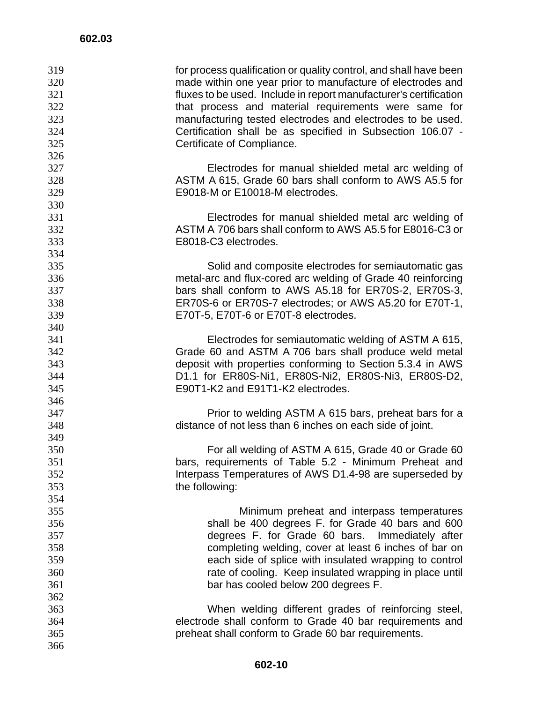| 319 | for process qualification or quality control, and shall have been |
|-----|-------------------------------------------------------------------|
| 320 | made within one year prior to manufacture of electrodes and       |
| 321 | fluxes to be used. Include in report manufacturer's certification |
| 322 | that process and material requirements were same for              |
| 323 | manufacturing tested electrodes and electrodes to be used.        |
| 324 | Certification shall be as specified in Subsection 106.07 -        |
| 325 | Certificate of Compliance.                                        |
| 326 |                                                                   |
| 327 | Electrodes for manual shielded metal arc welding of               |
| 328 | ASTM A 615, Grade 60 bars shall conform to AWS A5.5 for           |
| 329 | E9018-M or E10018-M electrodes.                                   |
| 330 |                                                                   |
| 331 | Electrodes for manual shielded metal arc welding of               |
| 332 | ASTM A 706 bars shall conform to AWS A5.5 for E8016-C3 or         |
| 333 | E8018-C3 electrodes.                                              |
| 334 |                                                                   |
| 335 | Solid and composite electrodes for semiautomatic gas              |
| 336 | metal-arc and flux-cored arc welding of Grade 40 reinforcing      |
| 337 | bars shall conform to AWS A5.18 for ER70S-2, ER70S-3,             |
| 338 | ER70S-6 or ER70S-7 electrodes; or AWS A5.20 for E70T-1,           |
|     |                                                                   |
| 339 | E70T-5, E70T-6 or E70T-8 electrodes.                              |
| 340 |                                                                   |
| 341 | Electrodes for semiautomatic welding of ASTM A 615,               |
| 342 | Grade 60 and ASTM A 706 bars shall produce weld metal             |
| 343 | deposit with properties conforming to Section 5.3.4 in AWS        |
| 344 | D1.1 for ER80S-Ni1, ER80S-Ni2, ER80S-Ni3, ER80S-D2,               |
| 345 | E90T1-K2 and E91T1-K2 electrodes.                                 |
| 346 |                                                                   |
| 347 | Prior to welding ASTM A 615 bars, preheat bars for a              |
| 348 | distance of not less than 6 inches on each side of joint.         |
| 349 |                                                                   |
| 350 | For all welding of ASTM A 615, Grade 40 or Grade 60               |
| 351 | bars, requirements of Table 5.2 - Minimum Preheat and             |
| 352 | Interpass Temperatures of AWS D1.4-98 are superseded by           |
| 353 | the following:                                                    |
| 354 |                                                                   |
| 355 | Minimum preheat and interpass temperatures                        |
| 356 | shall be 400 degrees F. for Grade 40 bars and 600                 |
| 357 | degrees F. for Grade 60 bars. Immediately after                   |
| 358 | completing welding, cover at least 6 inches of bar on             |
| 359 | each side of splice with insulated wrapping to control            |
| 360 | rate of cooling. Keep insulated wrapping in place until           |
| 361 | bar has cooled below 200 degrees F.                               |
| 362 |                                                                   |
| 363 | When welding different grades of reinforcing steel,               |
| 364 | electrode shall conform to Grade 40 bar requirements and          |
| 365 | preheat shall conform to Grade 60 bar requirements.               |
| 366 |                                                                   |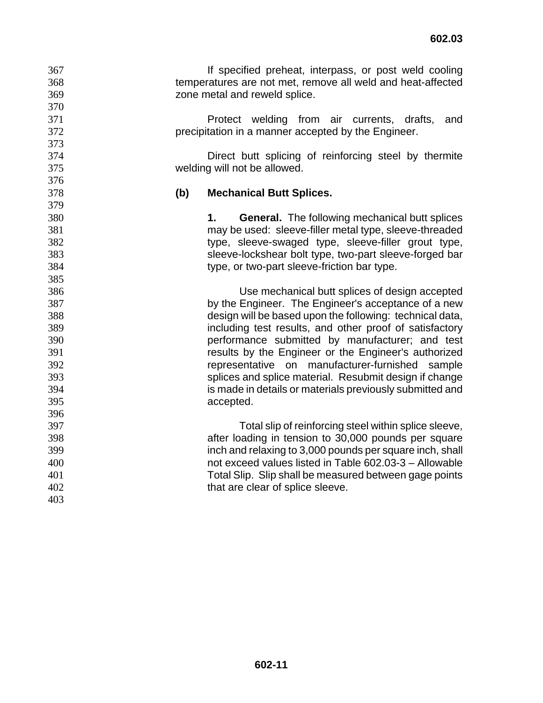If specified preheat, interpass, or post weld cooling temperatures are not met, remove all weld and heat-affected zone metal and reweld splice.

Protect welding from air currents, drafts, and precipitation in a manner accepted by the Engineer.

Direct butt splicing of reinforcing steel by thermite welding will not be allowed.

## **(b) Mechanical Butt Splices.**

**1. General.** The following mechanical butt splices may be used: sleeve-filler metal type, sleeve-threaded type, sleeve-swaged type, sleeve-filler grout type, sleeve-lockshear bolt type, two-part sleeve-forged bar type, or two-part sleeve-friction bar type.

Use mechanical butt splices of design accepted by the Engineer. The Engineer's acceptance of a new design will be based upon the following: technical data, including test results, and other proof of satisfactory performance submitted by manufacturer; and test results by the Engineer or the Engineer's authorized representative on manufacturer-furnished sample splices and splice material. Resubmit design if change is made in details or materials previously submitted and accepted.

Total slip of reinforcing steel within splice sleeve, after loading in tension to 30,000 pounds per square inch and relaxing to 3,000 pounds per square inch, shall not exceed values listed in Table 602.03-3 – Allowable Total Slip. Slip shall be measured between gage points 402 that are clear of splice sleeve.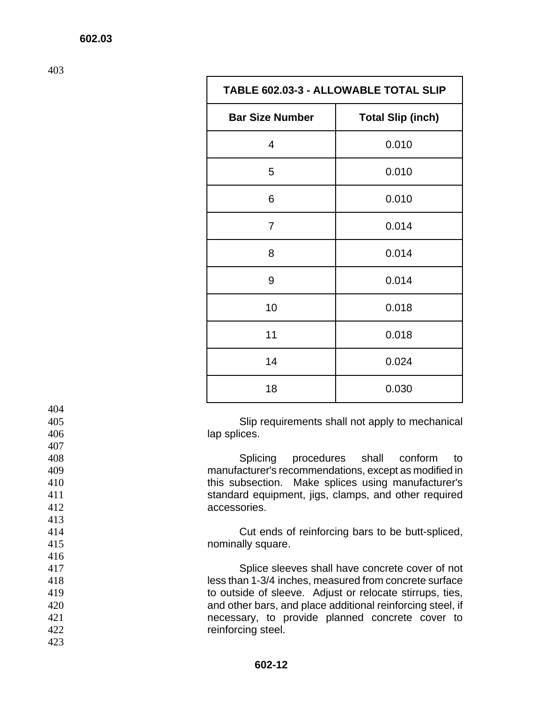| <b>TABLE 602.03-3 - ALLOWABLE TOTAL SLIP</b> |                          |
|----------------------------------------------|--------------------------|
| <b>Bar Size Number</b>                       | <b>Total Slip (inch)</b> |
| 4                                            | 0.010                    |
| 5                                            | 0.010                    |
| 6                                            | 0.010                    |
| 7                                            | 0.014                    |
| 8                                            | 0.014                    |
| 9                                            | 0.014                    |
| 10                                           | 0.018                    |
| 11                                           | 0.018                    |
| 14                                           | 0.024                    |
| 18                                           | 0.030                    |

405 Slip requirements shall not apply to mechanical 406 lap splices.

Splicing procedures shall conform to manufacturer's recommendations, except as modified in this subsection. Make splices using manufacturer's standard equipment, jigs, clamps, and other required accessories.

414 Cut ends of reinforcing bars to be butt-spliced, 415 nominally square.

Splice sleeves shall have concrete cover of not less than 1-3/4 inches, measured from concrete surface to outside of sleeve. Adjust or relocate stirrups, ties, and other bars, and place additional reinforcing steel, if necessary, to provide planned concrete cover to 422 reinforcing steel.

423

404

407

413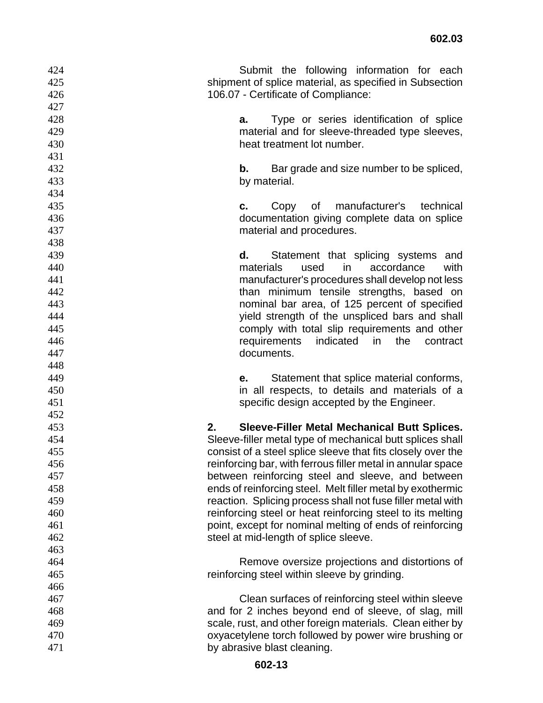| 424 | Submit the following information for each                   |
|-----|-------------------------------------------------------------|
| 425 | shipment of splice material, as specified in Subsection     |
| 426 | 106.07 - Certificate of Compliance:                         |
| 427 |                                                             |
| 428 | Type or series identification of splice<br>a.               |
| 429 | material and for sleeve-threaded type sleeves,              |
| 430 | heat treatment lot number.                                  |
| 431 |                                                             |
| 432 | b.<br>Bar grade and size number to be spliced,              |
| 433 | by material.                                                |
| 434 |                                                             |
| 435 | manufacturer's<br>technical<br>Copy<br>0f<br>c.             |
| 436 | documentation giving complete data on splice                |
| 437 | material and procedures.                                    |
| 438 |                                                             |
| 439 | Statement that splicing systems<br>d.<br>and                |
| 440 | materials<br>used<br>in.<br>accordance<br>with              |
| 441 | manufacturer's procedures shall develop not less            |
| 442 | than minimum tensile strengths, based on                    |
| 443 | nominal bar area, of 125 percent of specified               |
| 444 | yield strength of the unspliced bars and shall              |
| 445 | comply with total slip requirements and other               |
| 446 | requirements<br>indicated<br>in<br>the<br>contract          |
| 447 | documents.                                                  |
| 448 |                                                             |
| 449 | Statement that splice material conforms,<br>е.              |
| 450 | in all respects, to details and materials of a              |
| 451 | specific design accepted by the Engineer.                   |
| 452 |                                                             |
| 453 | 2.<br><b>Sleeve-Filler Metal Mechanical Butt Splices.</b>   |
| 454 | Sleeve-filler metal type of mechanical butt splices shall   |
| 455 | consist of a steel splice sleeve that fits closely over the |
| 456 | reinforcing bar, with ferrous filler metal in annular space |
| 457 | between reinforcing steel and sleeve, and between           |
| 458 | ends of reinforcing steel. Melt filler metal by exothermic  |
| 459 | reaction. Splicing process shall not fuse filler metal with |
| 460 | reinforcing steel or heat reinforcing steel to its melting  |
| 461 | point, except for nominal melting of ends of reinforcing    |
| 462 | steel at mid-length of splice sleeve.                       |
| 463 |                                                             |
| 464 | Remove oversize projections and distortions of              |
| 465 | reinforcing steel within sleeve by grinding.                |
| 466 |                                                             |
| 467 | Clean surfaces of reinforcing steel within sleeve           |
| 468 | and for 2 inches beyond end of sleeve, of slag, mill        |
| 469 | scale, rust, and other foreign materials. Clean either by   |
| 470 | oxyacetylene torch followed by power wire brushing or       |
| 471 | by abrasive blast cleaning.                                 |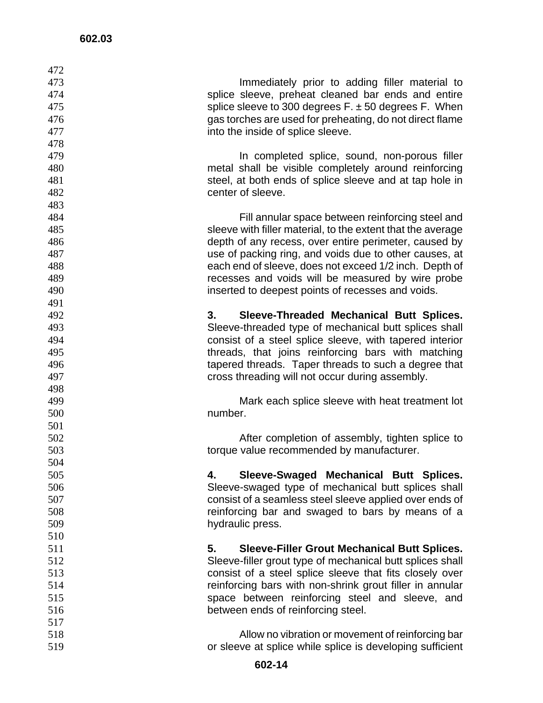| 472        |                                                                                                                |
|------------|----------------------------------------------------------------------------------------------------------------|
| 473        | Immediately prior to adding filler material to                                                                 |
| 474        | splice sleeve, preheat cleaned bar ends and entire                                                             |
| 475        | splice sleeve to 300 degrees $F_{\cdot}$ ± 50 degrees F. When                                                  |
| 476        | gas torches are used for preheating, do not direct flame                                                       |
| 477        | into the inside of splice sleeve.                                                                              |
| 478        |                                                                                                                |
| 479        | In completed splice, sound, non-porous filler                                                                  |
| 480        | metal shall be visible completely around reinforcing                                                           |
| 481        | steel, at both ends of splice sleeve and at tap hole in                                                        |
| 482        | center of sleeve.                                                                                              |
| 483        |                                                                                                                |
| 484        | Fill annular space between reinforcing steel and                                                               |
| 485        | sleeve with filler material, to the extent that the average                                                    |
| 486        | depth of any recess, over entire perimeter, caused by                                                          |
| 487        | use of packing ring, and voids due to other causes, at                                                         |
| 488        | each end of sleeve, does not exceed 1/2 inch. Depth of                                                         |
| 489        | recesses and voids will be measured by wire probe                                                              |
| 490        | inserted to deepest points of recesses and voids.                                                              |
| 491        |                                                                                                                |
| 492        | Sleeve-Threaded Mechanical Butt Splices.<br>3.                                                                 |
| 493        | Sleeve-threaded type of mechanical butt splices shall                                                          |
| 494        | consist of a steel splice sleeve, with tapered interior                                                        |
| 495        | threads, that joins reinforcing bars with matching                                                             |
| 496        | tapered threads. Taper threads to such a degree that                                                           |
| 497        | cross threading will not occur during assembly.                                                                |
| 498        |                                                                                                                |
| 499        | Mark each splice sleeve with heat treatment lot                                                                |
| 500        | number.                                                                                                        |
| 501        |                                                                                                                |
| 502        | After completion of assembly, tighten splice to                                                                |
| 503        | torque value recommended by manufacturer.                                                                      |
| 504        |                                                                                                                |
| 505        | Sleeve-Swaged Mechanical Butt Splices.<br>4.                                                                   |
| 506        | Sleeve-swaged type of mechanical butt splices shall                                                            |
| 507        | consist of a seamless steel sleeve applied over ends of                                                        |
| 508        | reinforcing bar and swaged to bars by means of a                                                               |
| 509        | hydraulic press.                                                                                               |
| 510        |                                                                                                                |
| 511        | 5.<br><b>Sleeve-Filler Grout Mechanical Butt Splices.</b>                                                      |
| 512        | Sleeve-filler grout type of mechanical butt splices shall                                                      |
| 513        | consist of a steel splice sleeve that fits closely over                                                        |
| 514        | reinforcing bars with non-shrink grout filler in annular                                                       |
| 515        | space between reinforcing steel and sleeve, and                                                                |
| 516        | between ends of reinforcing steel.                                                                             |
| 517        |                                                                                                                |
| 518<br>519 | Allow no vibration or movement of reinforcing bar<br>or sleeve at splice while splice is developing sufficient |
|            |                                                                                                                |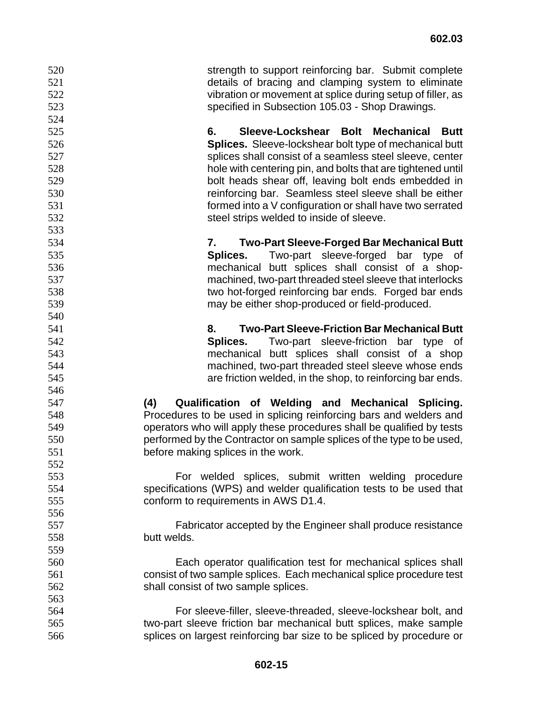strength to support reinforcing bar. Submit complete details of bracing and clamping system to eliminate vibration or movement at splice during setup of filler, as specified in Subsection 105.03 - Shop Drawings.

**6. Sleeve-Lockshear Bolt Mechanical Butt Splices.** Sleeve-lockshear bolt type of mechanical butt splices shall consist of a seamless steel sleeve, center hole with centering pin, and bolts that are tightened until bolt heads shear off, leaving bolt ends embedded in reinforcing bar. Seamless steel sleeve shall be either formed into a V configuration or shall have two serrated steel strips welded to inside of sleeve.

**7. Two-Part Sleeve-Forged Bar Mechanical Butt Splices.** Two-part sleeve-forged bar type of mechanical butt splices shall consist of a shop-machined, two-part threaded steel sleeve that interlocks two hot-forged reinforcing bar ends. Forged bar ends may be either shop-produced or field-produced.

**8. Two-Part Sleeve-Friction Bar Mechanical Butt Splices.** Two-part sleeve-friction bar type of mechanical butt splices shall consist of a shop machined, two-part threaded steel sleeve whose ends are friction welded, in the shop, to reinforcing bar ends.

**(4) Qualification of Welding and Mechanical Splicing.** Procedures to be used in splicing reinforcing bars and welders and operators who will apply these procedures shall be qualified by tests performed by the Contractor on sample splices of the type to be used, before making splices in the work.

For welded splices, submit written welding procedure specifications (WPS) and welder qualification tests to be used that conform to requirements in AWS D1.4.

Fabricator accepted by the Engineer shall produce resistance butt welds.

Each operator qualification test for mechanical splices shall consist of two sample splices. Each mechanical splice procedure test shall consist of two sample splices.

For sleeve-filler, sleeve-threaded, sleeve-lockshear bolt, and two-part sleeve friction bar mechanical butt splices, make sample splices on largest reinforcing bar size to be spliced by procedure or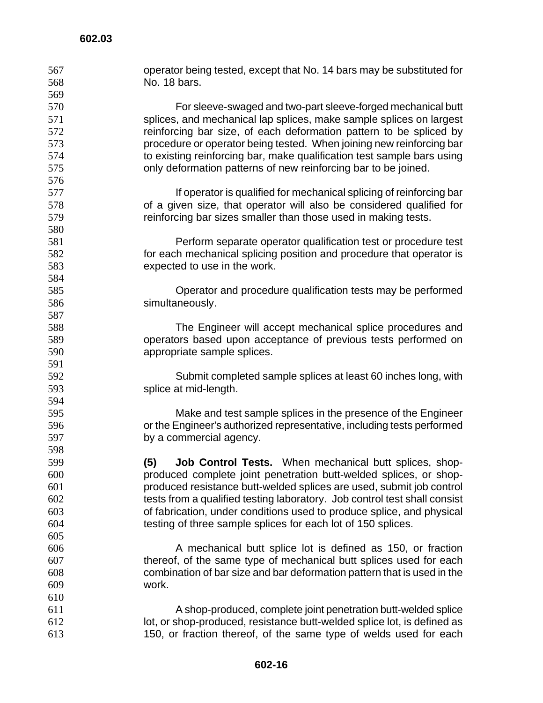| 567 | operator being tested, except that No. 14 bars may be substituted for     |
|-----|---------------------------------------------------------------------------|
| 568 | No. 18 bars.                                                              |
| 569 |                                                                           |
| 570 | For sleeve-swaged and two-part sleeve-forged mechanical butt              |
| 571 | splices, and mechanical lap splices, make sample splices on largest       |
| 572 | reinforcing bar size, of each deformation pattern to be spliced by        |
| 573 | procedure or operator being tested. When joining new reinforcing bar      |
| 574 | to existing reinforcing bar, make qualification test sample bars using    |
| 575 | only deformation patterns of new reinforcing bar to be joined.            |
| 576 |                                                                           |
| 577 | If operator is qualified for mechanical splicing of reinforcing bar       |
| 578 | of a given size, that operator will also be considered qualified for      |
| 579 | reinforcing bar sizes smaller than those used in making tests.            |
| 580 |                                                                           |
| 581 | Perform separate operator qualification test or procedure test            |
| 582 | for each mechanical splicing position and procedure that operator is      |
| 583 | expected to use in the work.                                              |
| 584 |                                                                           |
| 585 | Operator and procedure qualification tests may be performed               |
| 586 | simultaneously.                                                           |
| 587 |                                                                           |
| 588 | The Engineer will accept mechanical splice procedures and                 |
| 589 | operators based upon acceptance of previous tests performed on            |
| 590 | appropriate sample splices.                                               |
| 591 |                                                                           |
| 592 | Submit completed sample splices at least 60 inches long, with             |
| 593 | splice at mid-length.                                                     |
| 594 |                                                                           |
| 595 | Make and test sample splices in the presence of the Engineer              |
| 596 | or the Engineer's authorized representative, including tests performed    |
| 597 | by a commercial agency.                                                   |
| 598 |                                                                           |
| 599 | <b>Job Control Tests.</b> When mechanical butt splices, shop-<br>(5)      |
| 600 | produced complete joint penetration butt-welded splices, or shop-         |
| 601 | produced resistance butt-welded splices are used, submit job control      |
| 602 | tests from a qualified testing laboratory. Job control test shall consist |
| 603 | of fabrication, under conditions used to produce splice, and physical     |
| 604 | testing of three sample splices for each lot of 150 splices.              |
| 605 |                                                                           |
| 606 | A mechanical butt splice lot is defined as 150, or fraction               |
| 607 | thereof, of the same type of mechanical butt splices used for each        |
| 608 | combination of bar size and bar deformation pattern that is used in the   |
| 609 | work.                                                                     |
| 610 |                                                                           |
| 611 | A shop-produced, complete joint penetration butt-welded splice            |
| 612 | lot, or shop-produced, resistance butt-welded splice lot, is defined as   |
| 613 | 150, or fraction thereof, of the same type of welds used for each         |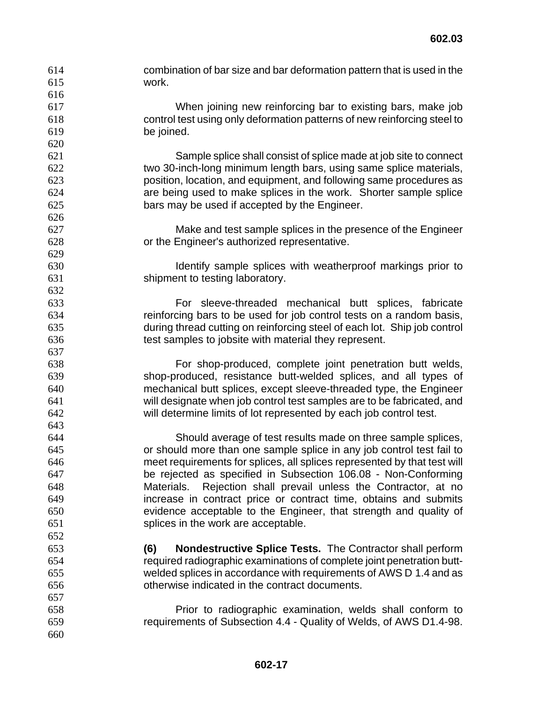combination of bar size and bar deformation pattern that is used in the work. When joining new reinforcing bar to existing bars, make job control test using only deformation patterns of new reinforcing steel to be joined. Sample splice shall consist of splice made at job site to connect two 30-inch-long minimum length bars, using same splice materials, position, location, and equipment, and following same procedures as are being used to make splices in the work. Shorter sample splice bars may be used if accepted by the Engineer. Make and test sample splices in the presence of the Engineer or the Engineer's authorized representative. Identify sample splices with weatherproof markings prior to shipment to testing laboratory. For sleeve-threaded mechanical butt splices, fabricate reinforcing bars to be used for job control tests on a random basis, during thread cutting on reinforcing steel of each lot. Ship job control test samples to jobsite with material they represent. For shop-produced, complete joint penetration butt welds, shop-produced, resistance butt-welded splices, and all types of mechanical butt splices, except sleeve-threaded type, the Engineer will designate when job control test samples are to be fabricated, and will determine limits of lot represented by each job control test. Should average of test results made on three sample splices, or should more than one sample splice in any job control test fail to meet requirements for splices, all splices represented by that test will be rejected as specified in Subsection 106.08 - Non-Conforming Materials. Rejection shall prevail unless the Contractor, at no increase in contract price or contract time, obtains and submits evidence acceptable to the Engineer, that strength and quality of splices in the work are acceptable. **(6) Nondestructive Splice Tests.** The Contractor shall perform required radiographic examinations of complete joint penetration butt-welded splices in accordance with requirements of AWS D 1.4 and as otherwise indicated in the contract documents. Prior to radiographic examination, welds shall conform to requirements of Subsection 4.4 - Quality of Welds, of AWS D1.4-98.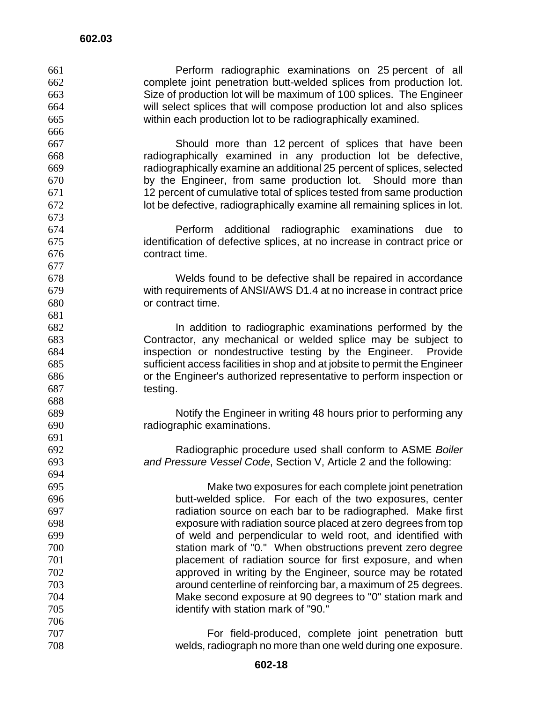Perform radiographic examinations on 25 percent of all complete joint penetration butt-welded splices from production lot. Size of production lot will be maximum of 100 splices. The Engineer will select splices that will compose production lot and also splices within each production lot to be radiographically examined. Should more than 12 percent of splices that have been radiographically examined in any production lot be defective, radiographically examine an additional 25 percent of splices, selected by the Engineer, from same production lot. Should more than 12 percent of cumulative total of splices tested from same production lot be defective, radiographically examine all remaining splices in lot. Perform additional radiographic examinations due to identification of defective splices, at no increase in contract price or contract time. Welds found to be defective shall be repaired in accordance with requirements of ANSI/AWS D1.4 at no increase in contract price or contract time. In addition to radiographic examinations performed by the Contractor, any mechanical or welded splice may be subject to inspection or nondestructive testing by the Engineer. Provide sufficient access facilities in shop and at jobsite to permit the Engineer or the Engineer's authorized representative to perform inspection or testing. Notify the Engineer in writing 48 hours prior to performing any radiographic examinations. Radiographic procedure used shall conform to ASME *Boiler and Pressure Vessel Code*, Section V, Article 2 and the following: Make two exposures for each complete joint penetration butt-welded splice. For each of the two exposures, center radiation source on each bar to be radiographed. Make first exposure with radiation source placed at zero degrees from top of weld and perpendicular to weld root, and identified with station mark of "0." When obstructions prevent zero degree placement of radiation source for first exposure, and when approved in writing by the Engineer, source may be rotated around centerline of reinforcing bar, a maximum of 25 degrees. Make second exposure at 90 degrees to "0" station mark and identify with station mark of "90." For field-produced, complete joint penetration butt welds, radiograph no more than one weld during one exposure.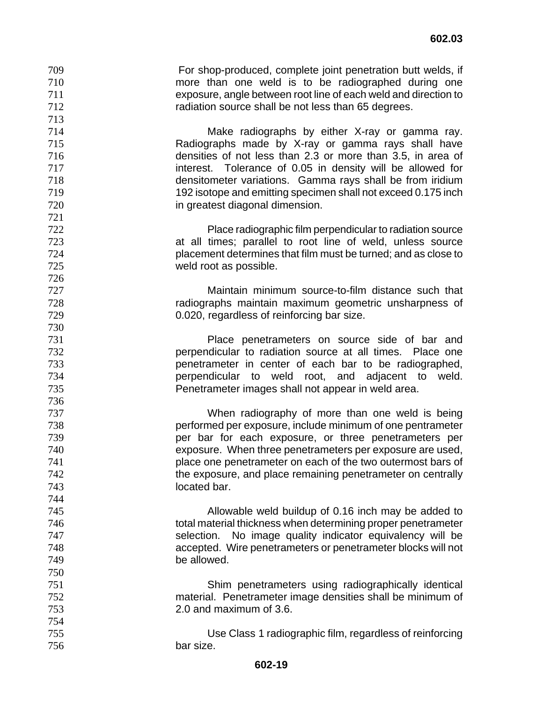For shop-produced, complete joint penetration butt welds, if more than one weld is to be radiographed during one exposure, angle between root line of each weld and direction to radiation source shall be not less than 65 degrees. Make radiographs by either X-ray or gamma ray. Radiographs made by X-ray or gamma rays shall have densities of not less than 2.3 or more than 3.5, in area of

interest. Tolerance of 0.05 in density will be allowed for densitometer variations. Gamma rays shall be from iridium 192 isotope and emitting specimen shall not exceed 0.175 inch in greatest diagonal dimension.

 Place radiographic film perpendicular to radiation source at all times; parallel to root line of weld, unless source

placement determines that film must be turned; and as close to

weld root as possible. 

Maintain minimum source-to-film distance such that radiographs maintain maximum geometric unsharpness of

0.020, regardless of reinforcing bar size. Place penetrameters on source side of bar and

perpendicular to radiation source at all times. Place one penetrameter in center of each bar to be radiographed,

perpendicular to weld root, and adjacent to weld. Penetrameter images shall not appear in weld area.

When radiography of more than one weld is being performed per exposure, include minimum of one pentrameter per bar for each exposure, or three penetrameters per exposure. When three penetrameters per exposure are used, place one penetrameter on each of the two outermost bars of

the exposure, and place remaining penetrameter on centrally located bar.

Allowable weld buildup of 0.16 inch may be added to total material thickness when determining proper penetrameter selection. No image quality indicator equivalency will be accepted. Wire penetrameters or penetrameter blocks will not be allowed.

Shim penetrameters using radiographically identical material. Penetrameter image densities shall be minimum of 2.0 and maximum of 3.6.

Use Class 1 radiographic film, regardless of reinforcing bar size.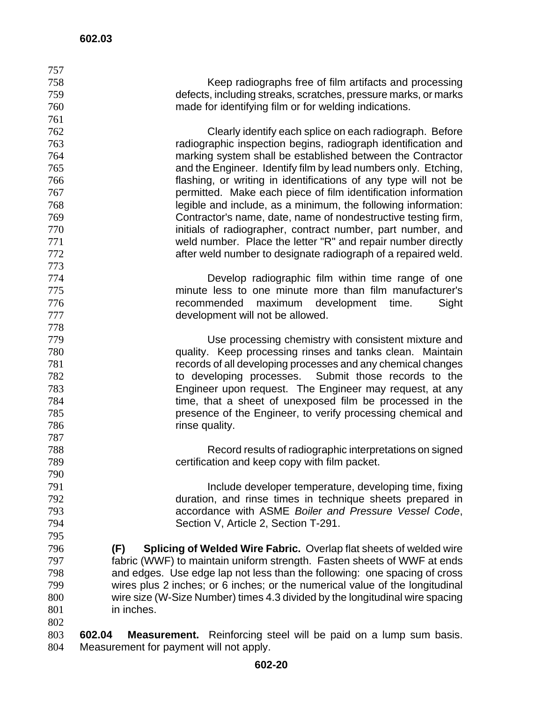| 757 |                                                                                                           |
|-----|-----------------------------------------------------------------------------------------------------------|
| 758 | Keep radiographs free of film artifacts and processing                                                    |
| 759 | defects, including streaks, scratches, pressure marks, or marks                                           |
| 760 | made for identifying film or for welding indications.                                                     |
| 761 |                                                                                                           |
| 762 | Clearly identify each splice on each radiograph. Before                                                   |
| 763 | radiographic inspection begins, radiograph identification and                                             |
| 764 | marking system shall be established between the Contractor                                                |
| 765 |                                                                                                           |
|     | and the Engineer. Identify film by lead numbers only. Etching,                                            |
| 766 | flashing, or writing in identifications of any type will not be                                           |
| 767 | permitted. Make each piece of film identification information                                             |
| 768 | legible and include, as a minimum, the following information:                                             |
| 769 | Contractor's name, date, name of nondestructive testing firm,                                             |
| 770 | initials of radiographer, contract number, part number, and                                               |
| 771 | weld number. Place the letter "R" and repair number directly                                              |
| 772 | after weld number to designate radiograph of a repaired weld.                                             |
| 773 |                                                                                                           |
| 774 | Develop radiographic film within time range of one                                                        |
| 775 | minute less to one minute more than film manufacturer's                                                   |
| 776 | recommended<br>maximum<br>development<br>time.<br>Sight                                                   |
| 777 | development will not be allowed.                                                                          |
| 778 |                                                                                                           |
| 779 | Use processing chemistry with consistent mixture and                                                      |
| 780 | quality. Keep processing rinses and tanks clean. Maintain                                                 |
| 781 | records of all developing processes and any chemical changes                                              |
| 782 | to developing processes. Submit those records to the                                                      |
| 783 | Engineer upon request. The Engineer may request, at any                                                   |
| 784 | time, that a sheet of unexposed film be processed in the                                                  |
| 785 | presence of the Engineer, to verify processing chemical and                                               |
| 786 | rinse quality.                                                                                            |
| 787 |                                                                                                           |
| 788 |                                                                                                           |
| 789 | Record results of radiographic interpretations on signed<br>certification and keep copy with film packet. |
|     |                                                                                                           |
| 790 |                                                                                                           |
| 791 | Include developer temperature, developing time, fixing                                                    |
| 792 | duration, and rinse times in technique sheets prepared in                                                 |
| 793 | accordance with ASME Boiler and Pressure Vessel Code,                                                     |
| 794 | Section V, Article 2, Section T-291.                                                                      |
| 795 |                                                                                                           |
| 796 | <b>Splicing of Welded Wire Fabric.</b> Overlap flat sheets of welded wire<br>(F)                          |
| 797 | fabric (WWF) to maintain uniform strength. Fasten sheets of WWF at ends                                   |
| 798 | and edges. Use edge lap not less than the following: one spacing of cross                                 |
| 799 | wires plus 2 inches; or 6 inches; or the numerical value of the longitudinal                              |
| 800 | wire size (W-Size Number) times 4.3 divided by the longitudinal wire spacing                              |
| 801 | in inches.                                                                                                |
| 802 |                                                                                                           |
| 803 | 602.04<br>Measurement. Reinforcing steel will be paid on a lump sum basis.                                |
| 804 | Measurement for payment will not apply.                                                                   |

Measurement for payment will not apply.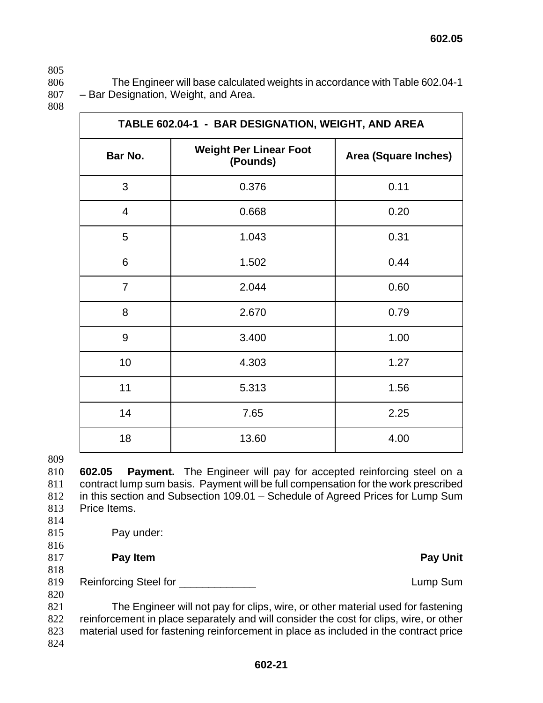806 The Engineer will base calculated weights in accordance with Table 602.04-1 807 – Bar Designation, Weight, and Area.

808

| TABLE 602.04-1 - BAR DESIGNATION, WEIGHT, AND AREA |                                           |                             |  |
|----------------------------------------------------|-------------------------------------------|-----------------------------|--|
| Bar No.                                            | <b>Weight Per Linear Foot</b><br>(Pounds) | <b>Area (Square Inches)</b> |  |
| 3                                                  | 0.376                                     | 0.11                        |  |
| 4                                                  | 0.668                                     | 0.20                        |  |
| 5                                                  | 1.043                                     | 0.31                        |  |
| 6                                                  | 1.502                                     | 0.44                        |  |
| $\overline{7}$                                     | 2.044                                     | 0.60                        |  |
| 8                                                  | 2.670                                     | 0.79                        |  |
| 9                                                  | 3.400                                     | 1.00                        |  |
| 10                                                 | 4.303                                     | 1.27                        |  |
| 11                                                 | 5.313                                     | 1.56                        |  |
| 14                                                 | 7.65                                      | 2.25                        |  |
| 18                                                 | 13.60                                     | 4.00                        |  |

809

**602.05 Payment.** The Engineer will pay for accepted reinforcing steel on a contract lump sum basis. Payment will be full compensation for the work prescribed in this section and Subsection 109.01 – Schedule of Agreed Prices for Lump Sum Price Items.

814

816

815 Pay under:

817 **Pay Item Pay Unit** 

818

819 Reinforcing Steel for \_\_\_\_\_\_\_\_\_\_\_\_\_ Lump Sum 820

The Engineer will not pay for clips, wire, or other material used for fastening reinforcement in place separately and will consider the cost for clips, wire, or other material used for fastening reinforcement in place as included in the contract price 824